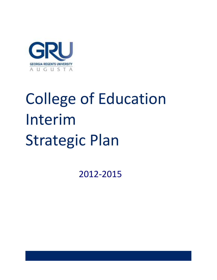

# College of Education Interim Strategic Plan

2012-2015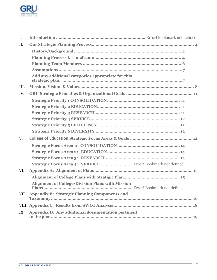

| I.   |                                                               |
|------|---------------------------------------------------------------|
| II.  |                                                               |
|      |                                                               |
|      |                                                               |
|      |                                                               |
|      |                                                               |
|      | Add any additional categories appropriate for this            |
| III. |                                                               |
| IV.  |                                                               |
|      |                                                               |
|      |                                                               |
|      |                                                               |
|      |                                                               |
|      |                                                               |
|      |                                                               |
| V.   |                                                               |
|      |                                                               |
|      |                                                               |
|      |                                                               |
|      | Strategic Focus Area 4: SERVICE  Error! Bookmark not defined. |
| VI.  |                                                               |
|      |                                                               |
|      | <b>Alignment of College/Division Plans with Mission</b>       |
|      | VII. Appendix B: Strategic Planning Components and            |
|      |                                                               |
| IX.  | Appendix D: Any additional documentation pertinent            |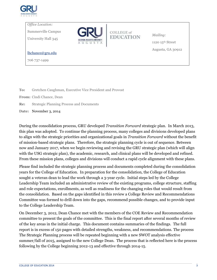

*Office Location:*

Summerville Campus

University Hall 345



COLLEGE of **EDUCATION**  *Mailing:* 1120 $15^{\rm th}$  Street Augusta, GA 30912

[lhchance@gru.edu](mailto:lhchance@gru.edu)

706 737-1499

**To:** Gretchen Caughman, Executive Vice President and Provost

**From:** Cindi Chance, Dean

**Re:** Strategic Planning Process and Documents

**Date:** November 3, 2014

During the consolidation process, GRU developed *Transition Forward* strategic plan. In March 2013, this plan was adopted. To continue the planning process, many colleges and divisions developed plans to align with the strategic priorities and organizational goals in *Transition Forward* without the benefit of mission-based strategic plans. Therefore, the strategic planning cycle is out of sequence. Between now and January 2017, when we begin reviewing and revising the GRU strategic plan (which will align with the USG strategic plan), the academic, research, and clinical plans will be developed and refined. From these mission plans, colleges and divisions will conduct a rapid cycle alignment with these plans.

Please find included the strategic planning process and documents completed during the consolidation years for the College of Education. In preparation for the consolidation, the College of Education sought a veteran dean to lead the work through a 3-year cycle. Initial steps led by the College Leadership Team included an administrative review of the existing programs, college structure, staffing and role expectations, enrollments, as well as readiness for the changing roles that would result from the consolidation. Based on the gaps identified in this review a College Review and Recommendations Committee was formed to drill down into the gaps, recommend possible changes, and to provide input to the College Leadership Team.

On December 3, 2012, Dean Chance met with the members of the COE Review and Recommendation committee to present the goals of the committee. This is the final report after several months of review of the key areas in the initial charge. This document contains summaries of the findings. The full report is in excess of 150 pages with detailed strengths, weakness, and recommendations. The process The Strategic Planning process will be repeated beginning with a new SWOT analysis effective summer/fall of 2015, assigned to the new College Dean. The process that is reflected here is the process following by the College beginning 2012-13 and effective through 2014-15.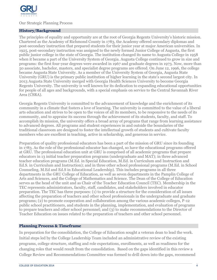

#### <span id="page-3-0"></span>Our Strategic Planning Process

#### <span id="page-3-1"></span>**History/Background**

The principles of equality and opportunity are at the root of Georgia Regents University's historic mission. Chartered as the Academy of Richmond County in 1783, the Academy offered secondary diplomas and post-secondary instruction that prepared students for their junior year at major American universities. In 1925, post-secondary instruction was assigned to the newly formed Junior College of Augusta, the first public junior college in the state of Georgia. The institution changed its name to Augusta College in 1958 when it became a part of the University System of Georgia. Augusta College continued to grow in size and programs: the first four-year degrees were awarded in 1967 and graduate degrees in 1973. Now, more than 50 associate, bachelor, masters, and specialist degree programs are offered. On June 12, 1996, the college became Augusta State University. As a member of the University System of Georgia, Augusta State University (GRU) is the primary public institution of higher learning in the state's second largest city. In 2013 Augusta State University merged with Georgia Health Sciences University to become Georgia Regents University. The university is well known for its dedication to expanding educational opportunities for people of all ages and backgrounds, with a special emphasis on service to the Central Savannah River Area (CSRA).

Georgia Regents University is committed to the advancement of knowledge and the enrichment of its community in a climate that fosters a love of learning. The university is committed to the value of a liberal arts education and strives to be open to the voices of all its members, to be responsive to the needs of its community, and to appraise its success through the achievement of its students, faculty, and staff. To accomplish its mission, the university offers a broad array of programs that range from learning assistance to advanced degrees. All programs and student experiences in and outside the boundaries of the traditional classroom are designed to foster the intellectual growth of students and cultivate faculty members who are excellent in teaching, active in scholarship, and generous in service.

Preparation of quality professional educators has been a part of the mission of GRU since its founding in 1783. As the role of the professional educator has changed, so have the educational programs offered at GRU. The professional education unit at GRU is comprised of all academic programs that prepare educators in 13 initial teacher preparation programs (undergraduate and MAT); in three advanced teacher education programs (M.Ed. in Special Education, M.Ed. in Curriculum and Instruction and Ed.S. in Curriculum and Instruction); and in three other school professional programs (M.Ed. in School Counseling, M.Ed and Ed.S in Educational Leadership). This includes programs in all three departments in the GRU College of Education, as well as seven departments in the Pamplin College of Arts and Sciences, and the College of Mathematics and Science. The Dean of the College of Education serves as the head of the unit and as Chair of the Teacher Education Council (TEC). Membership in the TEC represents administrators, faculty, staff, candidates, and stakeholders involved in educator preparation. The TEC has three purposes: (1) to provide a structure for the consideration of all issues affecting the preparation of teachers and other school professionals in the undergraduate and graduate programs; (2) to promote cooperation and collaboration among the various academic colleges, P-12 public school practitioners, and students in the planning, implementation, and evaluation of programs to prepare teachers and other school personnel; and (3) to make recommendations to the Director of Teacher Education on issues related to the preparation of teachers and other school personnel.

#### <span id="page-3-2"></span>**Planning Process & Timeframe**

In preparation for the consolidation, the College of Education sought a veteran dean to lead the work. Initial steps led by the College Leadership Team included an administrative review of the existing programs, college structure, staffing and role expectations, enrollments, as well as readiness for the changing roles that would result from the consolidation. Based on the gaps identified in this review a College Review and Recommendations Committee was formed to drill down into the gaps, recommend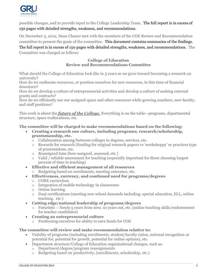

possible changes, and to provide input to the College Leadership Team. The full report is in excess of 150 pages with detailed strengths, weakness, and recommendations.

On December 3, 2012, Dean Chance met with the members of the COE Review and Recommendation committee to present the goals of the committee. This document contains summaries of the findings. The full report is in excess of 150 pages with detailed strengths, weakness, and recommendations. The

Committee was charged as follows:

#### **College of Education Review and Recommendations Committee**

What should the College of Education look like in 5 years as we grow toward becoming a research on university?

How do we reallocate resources, or position ourselves for new resources, in this time of financial downturn?

How do we develop a culture of entrepreneurial activities and develop a culture of seeking external grants and contracts?

How do we efficiently use our assigned space and other resources while growing numbers, new faculty, and staff positions?

This work is about the *future of the College.* Everything is on the table—programs, departmental structure, space reallocations, etc.

#### **The committee will be charged to make recommendations based on the following:**

- **Creating a research one culture, including programs, research/scholarship, grantsmanship, etc.** 
	- o Collaboration among/between colleges in degrees, services, etc.
	- o Rewards for research (funding for original research papers vs 'workshoppy' or practices type of presentations, etc.
	- o Reassigned time (how assigned, assessed, etc.)
	- o Valid / reliable assessment for teaching (especially important for those choosing largest percent of time in teaching)
- **Effective and efficient management of all resources**
	- o Budgeting based on enrollments, meeting outcomes, etc.
- **Effectiveness, currency, and continued need for programs/degrees**
	- o CORE curriculum
	- o Integration of mobile technology in classrooms
	- o Online learning
	- o Dual certifications (meeting new school demands including, special education, ELL, online teaching, etc.)
- **Cutting edge/national leadership of programs/degrees**
	- o Futuristic Needs 5 years from now, 10 years out, etc. (online teaching skills/endorsement for teacher candidates)
- **Creating an entrepreneurial culture**
	- o Positioning ourselves for ability to earn funds for COE

#### **The committee will review and make recommendation relative to:**

- Viability of programs (including enrollments, student/faculty ratios, national recognition or potential for, potential for growth, potential for online options), etc.
- Department structure/College of Education organizational changes, such as:
	- o Department/degree/program reassignments
	- o Budgeting based on productivity, (enrollments, scholarship, etc.)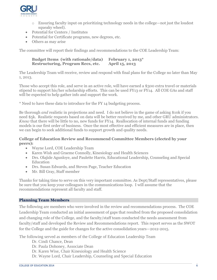

- o Ensuring faculty input on prioritizing technology needs in the college—not just the loudest squeaky wheel).
- Potential for Centers / Institutes
- Potential for Certificate programs, new degrees, etc.
- Others as may arise

The committee will report their findings and recommendations to the COE Leadership Team:

#### **Budget Items (with rationale/data) February 1, 2013\* Restructuring, Program Recs, etc. April 15, 2013**

The Leadership Team will receive, review and respond with final plans for the College no later than May 1, 2013.

Those who accept this role, and serve in an active role, will have earned a \$300 extra travel or materials stipend to support his/her scholarship efforts. This can be used FY13 or FY14. All COE GAs and staff will be expected to help gather info and support the work.

\* Need to have these data to introduce for the FY 14 budgeting process.

Be thorough *and* realistic in projections and need. I do not believe in the game of asking \$10k if you need \$5k. Realistic requests based on data will be better received by me, and other GRU administrators. *Know* that there will be little to no, new funds for FY14. Reallocation of internal funds and funding models is our first order of business. Once the most effective and efficient measures are in place, then we can begin to seek additional funds to support growth and quality needs.

#### **College of Education Review and Recommend Committee Members (elected by your peers):**

- Wayne Lord, COE Leadership Team
- Karen Wish and Graeme Connolly, Kinesiology and Health Sciences
- Drs. Olajide Agunloye, and Paulette Harris, Educational Leadership, Counseling and Special Education
- Drs. Susan Edwards, and Steven Page, Teacher Education
- Mr. Bill Gray, Staff member

Thanks for taking time to serve on this very important committee. As Dept/Staff representatives, please be sure that you keep your colleagues in the communications loop. I will assume that the recommendations represent all faculty and staff.

#### <span id="page-5-0"></span>**Planning Team Members**

The following are members who were involved in the review and recommendations process. The COE Leadership Team conducted an initial assessment of gaps that resulted from the proposed consolidation and changing role of the College, and the faculty/staff team conducted the needs assessment from faculty/staff and developed the Review and Recommendations report. This report serves as the SWOT for the College and the guide for changes for the active consolidation years—2012-2015.

The following served as members of the College of Education Leadership Team

- Dr. Cindi Chance, Dean
- Dr. Paula Dohoney, Associate Dean
- Dr. Karen Wise, Chair Kinesiology and Health Science
- Dr. Wayne Lord, Chair Leadership, Counseling and Special Education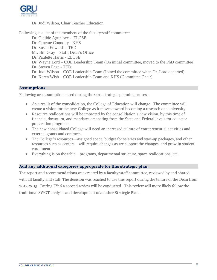

#### Dr. Judi Wilson, Chair Teacher Education

Following is a list of the members of the faculty/staff committee:

- Dr. Olajide Agunloye ELCSE
- Dr. Graeme Connolly KHS
- Dr. Susan Edwards TED
- Mr. Bill Gray Staff, Dean's Office
- Dr. Paulette Harris ELCSE
- Dr. Wayne Lord COE Leadership Team (On initial committee, moved to the PhD committee)
- Dr. Steven Page TED
- Dr. Judi Wilson COE Leadership Team (Joined the committee when Dr. Lord departed)
- Dr. Karen Wish COE Leadership Team and KHS (Committee Chair)

#### <span id="page-6-0"></span>**Assumptions**

Following are assumptions used during the 2012 strategic planning process:

- As a result of the consolidation, the College of Education will change. The committee will create a vision for the new College as it moves toward becoming a research one university.
- Resource reallocations will be impacted by the consolidation's new vision, by this time of financial downturn, and mandates emanating from the State and Federal levels for educator preparation programs.
- The new consolidated College will need an increased culture of entrepreneurial activities and external grants and contracts.
- The College's resources—assigned space, budget for salaries and start-up packages, and other resources such as centers—will require changes as we support the changes, and grow in student enrollment.
- Everything is on the table—programs, departmental structure, space reallocations, etc.

#### <span id="page-6-1"></span>**Add any additional categories appropriate for this strategic plan.**

The report and recommendations was created by a faculty/staff committee, reviewed by and shared with all faculty and staff. The decision was reached to use this report during the tenure of the Dean from 2012-2015. During FY16 a second review will be conducted. This review will more likely follow the traditional SWOT analysis and development of another Strategic Plan.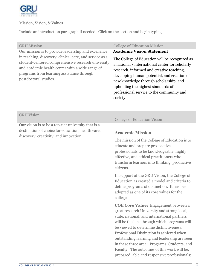

<span id="page-7-0"></span>Mission, Vision, & Values

Include an introduction paragraph if needed. Click on the section and begin typing.

Our mission is to provide leadership and excellence in teaching, discovery, clinical care, and service as a student-centered comprehensive research university and academic health center with a wide range of programs from learning assistance through postdoctoral studies.

#### GRU Mission College of Education Mission

#### **Ac Academic Vision Statement**

The College of Education will be recognized as a national / international center for scholarly research, informed and creative teaching, developing human potential, and creation of new knowledge through scholarship, and upholding the highest standards of professional service to the community and society.

#### GRU Vision

Our vision is to be a top-tier university that is a destination of choice for education, health care, discovery, creativity, and innovation.

#### College of Education Vision

#### **Academic Mission**

The mission of the College of Education is to educate and prepare prospective professionals to be knowledgeable, highly effective, and ethical practitioners who transform learners into thinking, productive citizens.

In support of the GRU Vision, the College of Education as created a model and criteria to define programs of distinction. It has been adopted as one of its core values for the college.

**COE Core Value:** Engagement between a great research University and strong local, state, national, and international partners will be the lens through which programs will be viewed to determine distinctiveness. Professional Distinction is achieved when outstanding learning and leadership are seen in these three area: Programs, Students, and Faculty. The outcomes of this work will be: prepared, able and responsive professionals;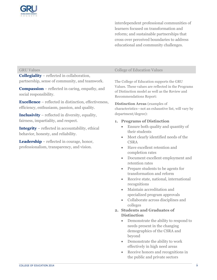

interdependent professional communities of learners focused on transformation and reform; and sustainable partnerships that cross over perceived boundaries to address educational and community challenges.

**Collegiality** – reflected in collaboration, partnership, sense of community, and teamwork.

**Compassion** – reflected in caring, empathy, and social responsibility.

**Excellence** – reflected in distinction, effectiveness, efficiency, enthusiasm, passion, and quality.

**Inclusivity** – reflected in diversity, equality, fairness, impartiality, and respect.

**Integrity** – reflected in accountability, ethical behavior, honesty, and reliability.

**Leadership** – reflected in courage, honor, professionalism, transparency, and vision.

#### GRU Values College of Education Values

The College of Education supports the GRU Values. These values are reflected in the Programs of Distinction model as well as the Review and Recommendations Report:

**Distinction Areas** (examples of characteristics—not an exhaustive list, will vary by department/degree):

#### **1. Programs of Distinction**

- Ensure both quality and quantity of their students
- Meet clearly identified needs of the **CSRA**
- Have excellent retention and completion rates
- Document excellent employment and retention rates
- Prepare students to be agents for transformation and reform
- Receive state, national, international recognitions
- Maintain accreditation and specialized program approvals
- Collaborate across disciplines and colleges

#### **2. Students and Graduates of Distinction**

- Demonstrate the ability to respond to needs present in the changing demographics of the CSRA and beyond
- Demonstrate the ability to work effectively in high need areas
- Receive honors and recognitions in the public and private sectors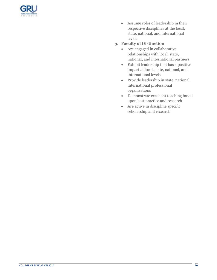

- Assume roles of leadership in their respective disciplines at the local, state, national, and international levels
- **3. Faculty of Distinction**
	- Are engaged in collaborative relationships with local, state, national, and international partners
	- Exhibit leadership that has a positive impact at local, state, national, and international levels
	- Provide leadership in state, national, international professional organizations
	- Demonstrate excellent teaching based upon best practice and research
	- Are active in discipline specific scholarship and research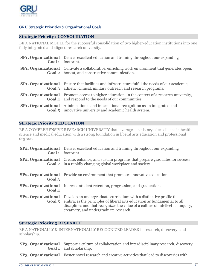

#### <span id="page-10-0"></span>GRU Strategic Priorities & Organizational Goals

#### <span id="page-10-1"></span>**Strategic Priority 1 CONSOLIDATION**

BE A NATIONAL MODEL for the successful consolidation of two higher-education institutions into one fully integrated and aligned research university.

| <b>SP1. Organizational</b> Deliver excellent education and training throughout our expanding<br><b>Goal 1</b> footprint.                                                              |
|---------------------------------------------------------------------------------------------------------------------------------------------------------------------------------------|
| <b>SP1. Organizational</b> Cultivate a collaborative, enriching work environment that generates open,<br><b>Goal 2</b> honest, and constructive communication.                        |
| <b>SP1. Organizational</b> Ensure that facilities and infrastructure fulfill the needs of our academic,<br><b>Goal 3</b> athletic, clinical, military outreach and research programs. |
| <b>SP1. Organizational</b> Promote access to higher education, in the context of a research university,<br><b>Goal 4</b> and respond to the needs of our communities.                 |
| <b>SP1. Organizational</b> Attain national and international recognition as an integrated and<br><b>Goal 5</b> innovative university and academic health system.                      |

#### <span id="page-10-2"></span>**Strategic Priority 2 EDUCATION**

BE A COMPREHENSIVE RESEARCH UNIVERSITY that leverages its history of excellence in health science and medical education with a strong foundation in liberal arts education and professional degrees.

|                            | <b>SP2. Organizational</b> Deliver excellent education and training throughout our expanding<br><b>Goal 1</b> footprint.                                                                                                                                                                   |
|----------------------------|--------------------------------------------------------------------------------------------------------------------------------------------------------------------------------------------------------------------------------------------------------------------------------------------|
|                            | <b>SP2. Organizational</b> Create, enhance, and sustain programs that prepare graduates for success<br><b>Goal 2</b> in a rapidly changing global workplace and society.                                                                                                                   |
| Goal 3                     | <b>SP2. Organizational</b> Provide an environment that promotes innovative education.                                                                                                                                                                                                      |
| Goal 4                     | <b>SP2. Organizational</b> Increase student retention, progression, and graduation.                                                                                                                                                                                                        |
| <b>SP2. Organizational</b> | Develop an undergraduate curriculum with a distinctive profile that<br><b>Goal 5</b> embraces the principles of liberal arts education as fundamental to all<br>disciplines and that recognizes the value of a culture of intellectual inquiry,<br>creativity, and undergraduate research. |

#### <span id="page-10-3"></span>**Strategic Priority 3 RESEARCH**

BE A NATIONALLY & INTERNATIONALLY RECOGNIZED LEADER in research, discovery, and scholarship.

| <b>SP3. Organizational</b> Support a culture of collaboration and interdisciplinary research, discovery, |
|----------------------------------------------------------------------------------------------------------|
| <b>Goal 1</b> and scholarship.                                                                           |

**SP3. Organizational** Foster novel research and creative activities that lead to discoveries with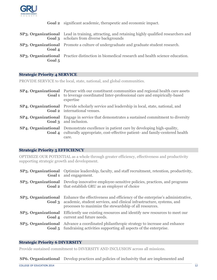

|  |  |  |  |  | <b>Goal 2</b> significant academic, therapeutic and economic impact. |
|--|--|--|--|--|----------------------------------------------------------------------|
|--|--|--|--|--|----------------------------------------------------------------------|

|          | <b>SP3. Organizational</b> Lead in training, attracting, and retaining highly qualified researchers and<br><b>Goal 3</b> scholars from diverse backgrounds |
|----------|------------------------------------------------------------------------------------------------------------------------------------------------------------|
| Goal 4   | <b>SP3. Organizational</b> Promote a culture of undergraduate and graduate student research.                                                               |
| Goal $5$ | <b>SP3. Organizational</b> Practice distinction in biomedical research and health science education.                                                       |

#### <span id="page-11-0"></span>**Strategic Priority 4 SERVICE**

PROVIDE SERVICE to the local, state, national, and global communities.

| <b>SP4. Organizational</b> Partner with our constituent communities and regional health care assets<br>Goal 1 to leverage coordinated Inter-professional care and empirically-based<br>expertise   |
|----------------------------------------------------------------------------------------------------------------------------------------------------------------------------------------------------|
| <b>SP4. Organizational</b> Provide scholarly service and leadership in local, state, national, and<br><b>Goal 2</b> international venues.                                                          |
| <b>SP4. Organizational</b> Engage in service that demonstrates a sustained commitment to diversity<br><b>Goal 3</b> and inclusion.                                                                 |
| <b>SP4. Organizational</b> Demonstrate excellence in patient care by developing high-quality,<br><b>Goal 4</b> culturally appropriate, cost-effective patient- and family-centered health<br>care. |

#### <span id="page-11-1"></span>**Strategic Priority 5 EFFICIENCY**

OPTIMIZE OUR POTENTIAL as a whole through greater efficiency, effectiveness and productivity supporting strategic growth and development.

|        | <b>SP5. Organizational</b> Optimize leadership, faculty, and staff recruitment, retention, productivity,<br><b>Goal 1</b> and engagement.                                                                                                   |
|--------|---------------------------------------------------------------------------------------------------------------------------------------------------------------------------------------------------------------------------------------------|
|        | <b>SP5. Organizational</b> Develop innovative employee-sensitive policies, practices, and programs<br><b>Goal 2</b> that establish GRU as an employer of choice                                                                             |
| Goal 3 | <b>SP5. Organizational</b> Enhance the effectiveness and efficiency of the enterprise's administrative,<br>academic, student services, and clinical infrastructure, systems, and<br>processes to maximize the stewardship of all resources. |
|        | <b>SP5. Organizational</b> Efficiently use existing resources and identify new resources to meet our<br><b>Goal 4</b> current and future needs.                                                                                             |
|        | <b>SP5. Organizational</b> Advance a coordinated philanthropic strategy to increase and enhance<br><b>Goal 5</b> fundraising activities supporting all aspects of the enterprise.                                                           |

#### <span id="page-11-2"></span>**Strategic Priority 6 DIVERSITY**

Provide sustained commitment to DIVERSITY AND INCLUSION across all missions.

**SP6. Organizational** Develop practices and policies of inclusivity that are implemented and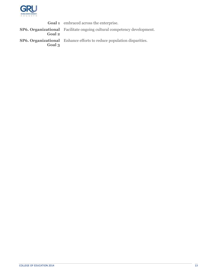

**Goal 1** embraced across the enterprise. **SP6. Organizational Goal 2** Facilitate ongoing cultural competency development. **SP6. Organizational Goal 3** Enhance efforts to reduce population disparities.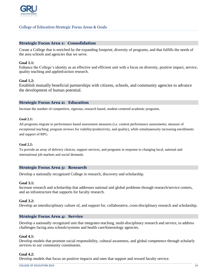

#### <span id="page-13-0"></span>College of Education Strategic Focus Areas & Goals

#### <span id="page-13-1"></span>**Strategic Focus Area 1: Consolidation**

Create a College that is enriched by the expanding footprint, diversity of programs, and that fulfills the needs of the area schools and agencies that we serve.

#### **Goal 1.1:**

Enhance the College's identity as an effective and efficient unit with a focus on diversity, positive impact, service, quality teaching and applied/action research.

#### **Goal 1.2:**

Establish mutually beneficial partnerships with citizens, schools, and community agencies to advance the development of human potential.

#### <span id="page-13-2"></span>**Strategic Focus Area 2: Education**

Increase the number of competitive, rigorous, research based, student-centered academic programs.

#### **Goal 2.1:**

All programs migrate to performance based assessment measures (i.e. content performance assessments; measure of exceptional teaching; program reviews for viability/productivity, and quality), while simultaneously increasing enrollments and support of RPG.

#### **Goal 2.2:**

To provide an array of delivery choices, support services, and programs in response to changing local, national and international job markets and social demands.

#### <span id="page-13-3"></span>**Strategic Focus Area 3: Research**

Develop a nationally recognized College in research, discovery and scholarship.

#### **Goal 3.1:**

Increase research and scholarship that addresses national and global problems through research/service centers, and an infrastructure that supports for faculty research.

#### **Goal 3.2:**

Develop an interdisciplinary culture of, and support for, collaborative, cross-disciplinary research and scholarship.

#### **Strategic Focus Area 4: Service**

Develop a nationally recognized unit that integrates teaching, multi-disciplinary research and service, to address challenges facing area schools/systems and health care/kinesiology agencies.

#### **Goal 4.1:**

Develop models that promote social responsibility, cultural awareness, and global competence through scholarly services to our community constituents.

#### **Goal 4.2:**

Develop models that focus on positive impacts and ones that support and reward faculty service.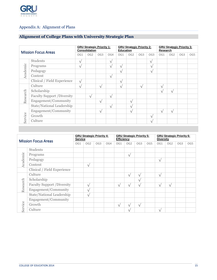

### <span id="page-14-0"></span>Appendix A: Alignment of Plans

#### <span id="page-14-1"></span>**Alignment of College Plans with University Strategic Plan**

| <b>Mission Focus Areas</b> |                                   | <b>GRU Strategic Priority 1:</b><br>Consolidation |                 |                 |           | <b>GRU Strategic Priority 2:</b><br><b>Education</b> |                 |                 |                 | <b>GRU Strategic Priority 3:</b><br>Research |                 |                 |     |
|----------------------------|-----------------------------------|---------------------------------------------------|-----------------|-----------------|-----------|------------------------------------------------------|-----------------|-----------------|-----------------|----------------------------------------------|-----------------|-----------------|-----|
|                            |                                   |                                                   | OG <sub>2</sub> | OG <sub>3</sub> | OG4       | OG1                                                  | OG <sub>2</sub> | OG <sub>3</sub> | OG <sub>3</sub> | OG1                                          | OG <sub>2</sub> | OG <sub>3</sub> | OG5 |
|                            | <b>Students</b>                   | $\sqrt{}$                                         |                 |                 | $\sqrt{}$ |                                                      |                 |                 | $\mathcal{N}$   |                                              |                 |                 |     |
| Academic                   | Programs                          | $\sqrt{}$                                         |                 |                 | $\sqrt{}$ | $\sqrt{ }$                                           |                 |                 | $\sqrt{}$       |                                              |                 |                 |     |
|                            | Pedagogy                          |                                                   |                 |                 |           | $\sqrt{ }$                                           |                 |                 | $\sqrt{}$       |                                              |                 |                 |     |
|                            | Content                           |                                                   |                 |                 | $\sqrt{}$ |                                                      |                 |                 |                 |                                              |                 |                 |     |
|                            | Clinical / Field Experience       | $\sqrt{ }$                                        |                 |                 |           | $\sqrt{ }$                                           |                 |                 |                 |                                              |                 |                 |     |
|                            | Culture                           | $\sqrt{}$                                         |                 | $\sqrt{}$       |           | $\sqrt{ }$                                           |                 | $\mathcal{N}$   |                 | $\sqrt{ }$                                   |                 |                 |     |
|                            | Scholarship                       |                                                   |                 |                 |           |                                                      |                 |                 |                 | $\sqrt{}$                                    | $\sqrt{}$       |                 |     |
| Research                   | <b>Faculty Support /Diversity</b> |                                                   | $\sqrt{}$       |                 | $\sqrt{}$ |                                                      |                 |                 |                 |                                              |                 |                 |     |
|                            | Engagement/Community              |                                                   |                 | $\sqrt{}$       |           |                                                      | $\sqrt{}$       |                 |                 |                                              |                 |                 |     |
|                            | State/National Leadership         |                                                   |                 |                 | $\sqrt{}$ |                                                      | $\sqrt{}$       |                 |                 |                                              |                 |                 |     |
|                            | Engagement/Community              |                                                   |                 | $\sqrt{}$       |           |                                                      | $\sqrt{}$       |                 |                 | $\sqrt{ }$                                   | $\sqrt{}$       |                 |     |
| Service                    | Growth                            |                                                   |                 |                 |           |                                                      |                 |                 | $\sqrt{}$       |                                              |                 |                 |     |
|                            | Culture                           |                                                   |                 |                 |           |                                                      |                 |                 | $\sqrt{}$       |                                              |                 |                 |     |

<span id="page-14-2"></span>

| <b>Mission Focus Areas</b> |                                   | <b>GRU Strategic Priority 4:</b><br><b>Service</b> |                 |                 |     | <b>GRU Strategic Priority 5:</b><br><b>Efficiency</b> |                 |                 |     | <b>GRU Strategic Priority 6:</b><br><b>Diversity</b> |                 |                 |     |
|----------------------------|-----------------------------------|----------------------------------------------------|-----------------|-----------------|-----|-------------------------------------------------------|-----------------|-----------------|-----|------------------------------------------------------|-----------------|-----------------|-----|
|                            |                                   |                                                    | OG <sub>2</sub> | OG <sub>3</sub> | OG4 | OG1                                                   | OG <sub>2</sub> | OG <sub>3</sub> | OG5 | OG1                                                  | OG <sub>2</sub> | OG <sub>3</sub> | OG5 |
|                            | Students                          |                                                    |                 |                 |     |                                                       |                 |                 |     |                                                      |                 |                 |     |
| Academic                   | Programs                          |                                                    |                 |                 |     |                                                       | $\sqrt{ }$      |                 |     |                                                      |                 |                 |     |
|                            | Pedagogy                          |                                                    |                 |                 |     |                                                       |                 |                 |     | $\sqrt{}$                                            |                 |                 |     |
|                            | Content                           |                                                    | $\sqrt{}$       |                 |     |                                                       |                 |                 |     |                                                      |                 |                 |     |
|                            | Clinical / Field Experience       |                                                    |                 |                 |     |                                                       |                 |                 |     |                                                      |                 |                 |     |
|                            | Culture                           |                                                    |                 |                 |     |                                                       | $\sqrt{ }$      |                 |     | $\sqrt{}$                                            |                 |                 |     |
|                            | Scholarship                       |                                                    |                 |                 |     |                                                       |                 | $\sqrt{}$       |     |                                                      |                 |                 |     |
| Research                   | <b>Faculty Support /Diversity</b> |                                                    | $\sqrt{}$       |                 |     | $\sqrt{}$                                             | $\mathcal{N}$   | $\sqrt{}$       |     | $\mathcal{N}$                                        | $\sqrt{}$       |                 |     |
|                            | Engagement/Community              |                                                    | $\mathbf{v}$    |                 |     |                                                       |                 |                 |     |                                                      |                 |                 |     |
|                            | State/National Leadership         |                                                    | $\sqrt{}$       |                 |     |                                                       |                 |                 |     |                                                      |                 |                 |     |
|                            | Engagement/Community              |                                                    |                 |                 |     |                                                       |                 |                 |     |                                                      |                 |                 |     |
| Service                    | Growth                            |                                                    |                 |                 |     | $\sqrt{}$                                             | A.              | $\sqrt{}$       |     |                                                      |                 |                 |     |
|                            | Culture                           |                                                    |                 |                 |     |                                                       | $\mathcal{N}$   |                 |     | $\sqrt{}$                                            |                 |                 |     |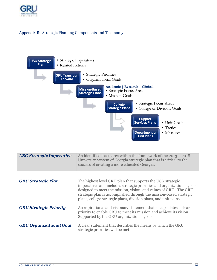

#### Appendix B: Strategic Planning Components and Taxonomy



| USG Strategic Imperative | An identified focus area within the framework of the $2013 - 2018$                                                  |
|--------------------------|---------------------------------------------------------------------------------------------------------------------|
|                          | University System of Georgia strategic plan that is critical to the<br>success of creating a more educated Georgia. |
|                          |                                                                                                                     |

| <b>GRU Strategic Plan</b>      | The highest level GRU plan that supports the USG strategic<br>imperatives and includes strategic priorities and organizational goals<br>designed to meet the mission, vision, and values of GRU. The GRU<br>strategic plan is accomplished through the mission-based strategic<br>plans, college strategic plans, division plans, and unit plans. |
|--------------------------------|---------------------------------------------------------------------------------------------------------------------------------------------------------------------------------------------------------------------------------------------------------------------------------------------------------------------------------------------------|
| <b>GRU Strategic Priority</b>  | An aspirational and visionary statement that encapsulates a clear<br>priority to enable GRU to meet its mission and achieve its vision.<br>Supported by the GRU organizational goals.                                                                                                                                                             |
| <b>GRU Organizational Goal</b> | A clear statement that describes the means by which the GRU<br>strategic priorities will be met.                                                                                                                                                                                                                                                  |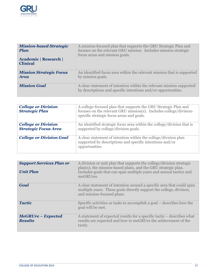

| <b>Mission-based Strategic</b><br><b>Plan</b> | A mission-focused plan that supports the GRU Strategic Plan and<br>focuses on the relevant GRU mission. Includes mission strategic<br>focus areas and mission goals. |
|-----------------------------------------------|----------------------------------------------------------------------------------------------------------------------------------------------------------------------|
| Academic   Research  <br><b>Clinical</b>      |                                                                                                                                                                      |
| <b>Mission Strategic Focus</b><br><b>Area</b> | An identified focus area within the relevant mission that is supported<br>by mission goals.                                                                          |
| <b>Mission Goal</b>                           | A clear statement of intention within the relevant mission supported<br>by descriptions and specific intentions and/or opportunities.                                |

| <b>College or Division</b><br><b>Strategic Plan</b>       | A college-focused plan that supports the GRU Strategic Plan and<br>focuses on the relevant GRU mission(s). Includes college/division-<br>specific strategic focus areas and goals. |
|-----------------------------------------------------------|------------------------------------------------------------------------------------------------------------------------------------------------------------------------------------|
| <b>College or Division</b><br><b>Strategic Focus Area</b> | An identified strategic focus area within the college/division that is<br>supported by college/division goals.                                                                     |
| <b>College or Division Goal</b>                           | A clear statement of intention within the college/division plan<br>supported by descriptions and specific intentions and/or<br>opportunities.                                      |

| <b>Support Services Plan or</b><br><b>Unit Plan</b> | A division or unit plan that supports the college/division strategic<br>plan(s), the mission-based plans, and the GRU strategic plan.<br>Includes goals that can span multiple years and annual tactics and<br>meGRUres. |
|-----------------------------------------------------|--------------------------------------------------------------------------------------------------------------------------------------------------------------------------------------------------------------------------|
| Goal                                                | A clear statement of intention around a specific area that could span<br>multiple years. These goals directly support the college, division,<br>and mission-focused plans.                                               |
| <b>Tactic</b>                                       | Specific activities or tasks to accomplish a goal – describes how the<br>goal will be met.                                                                                                                               |
| MeGRUre – Expected<br><b>Results</b>                | A statement of expected results for a specific tactic – describes what<br>results are expected and how to meGRUre the achievement of the<br>tactic.                                                                      |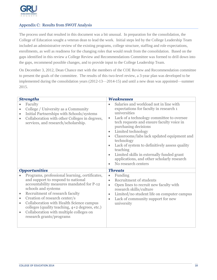

#### <span id="page-17-0"></span>Appendix C: Results from SWOT Analysis

The process used that resulted in this document was a bit unusual. In preparation for the consolidation, the College of Education sought a veteran dean to lead the work. Initial steps led by the College Leadership Team included an administrative review of the existing programs, college structure, staffing and role expectations, enrollments, as well as readiness for the changing roles that would result from the consolidation. Based on the gaps identified in this review a College Review and Recommendations Committee was formed to drill down into the gaps, recommend possible changes, and to provide input to the College Leadership Team.

On December 3, 2012, Dean Chance met with the members of the COE Review and Recommendation committee to present the goals of the committee. The results of this two-level review, a 3-year plan was developed to be implemented during the consolidation years (2012-13—2014-15) and until a new dean was appointed—summer 2015.

| <b>Strengths</b>                                 |                                                                                                                                                                                                                                                                                                                                                                                                                           | <b>Weaknesses</b>                                                                       |                                                                                                                                                                                                                                                                                                                                                                                                                                                                                     |  |
|--------------------------------------------------|---------------------------------------------------------------------------------------------------------------------------------------------------------------------------------------------------------------------------------------------------------------------------------------------------------------------------------------------------------------------------------------------------------------------------|-----------------------------------------------------------------------------------------|-------------------------------------------------------------------------------------------------------------------------------------------------------------------------------------------------------------------------------------------------------------------------------------------------------------------------------------------------------------------------------------------------------------------------------------------------------------------------------------|--|
| $\bullet$<br>$\bullet$<br>$\bullet$<br>$\bullet$ | Faculty<br>College / University as a Community<br>Initial Partnerships with Schools/systems<br>Collaboration with other Colleges in degrees,<br>services, and research/scholarship.                                                                                                                                                                                                                                       | $\bullet$<br>$\bullet$<br>$\bullet$<br>$\bullet$<br>$\bullet$<br>$\bullet$<br>$\bullet$ | Salaries and workload not in line with<br>expectations for faculty in research 1<br>universities<br>Lack of a technology committee to oversee<br>tech requests and ensure faculty voice in<br>purchasing decisions<br>Limited technology<br>Classrooms/labs lack updated equipment and<br>technology<br>Lack of system to definitively assess quality<br>teaching<br>Limited skills in externally funded grant<br>applications, and other scholarly research<br>No research centers |  |
| $\bullet$<br>$\bullet$<br>$\bullet$<br>$\bullet$ | <b>Opportunities</b><br>Programs, professional learning, certificates,<br>and support to respond to national<br>accountability measures mandated for P-12<br>schools and systems<br>Recruitment of research faculty<br>Creation of research center/s<br>Collaboration with Health Science campus<br>colleges (quality teaching, 4+2 degrees, etc.)<br>Collaboration with multiple colleges on<br>research grants/programs | $\bullet$<br>$\bullet$<br>$\bullet$<br>$\bullet$<br>$\bullet$                           | <b>Threats</b><br>Funding<br>Recruitment of students<br>Open lines to recruit new faculty with<br>research skills/culture<br>Limited/no student life on computer campus<br>Lack of community support for new<br>university                                                                                                                                                                                                                                                          |  |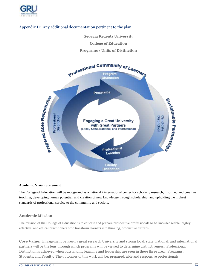

#### <span id="page-18-0"></span>Appendix D: Any additional documentation pertinent to the plan

- **Georgia Regents University**
	- **College of Education**

#### **Programs / Units of Distinction**



#### **Academic Vision Statement**

The College of Education will be recognized as a national / international center for scholarly research, informed and creative teaching, developing human potential, and creation of new knowledge through scholarship, and upholding the highest standards of professional service to the community and society.

#### **Academic Mission**

The mission of the College of Education is to educate and prepare prospective professionals to be knowledgeable, highly effective, and ethical practitioners who transform learners into thinking, productive citizens.

**Core Value:** Engagement between a great research University and strong local, state, national, and international partners will be the lens through which programs will be viewed to determine distinctiveness. Professional Distinction is achieved when outstanding learning and leadership are seen in these three area: Programs, Students, and Faculty. The outcomes of this work will be: prepared, able and responsive professionals;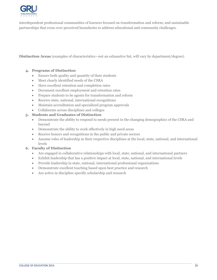

interdependent professional communities of learners focused on transformation and reform; and sustainable partnerships that cross over perceived boundaries to address educational and community challenges.

**Distinction Areas** (examples of characteristics—not an exhaustive list, will vary by department/degree):

#### **4. Programs of Distinction**

- Ensure both quality and quantity of their students
- Meet clearly identified needs of the CSRA
- Have excellent retention and completion rates
- Document excellent employment and retention rates
- Prepare students to be agents for transformation and reform
- Receive state, national, international recognitions
- Maintain accreditation and specialized program approvals
- Collaborate across disciplines and colleges

#### **5. Students and Graduates of Distinction**

- Demonstrate the ability to respond to needs present in the changing demographics of the CSRA and beyond
- Demonstrate the ability to work effectively in high need areas
- Receive honors and recognitions in the public and private sectors
- Assume roles of leadership in their respective disciplines at the local, state, national, and international levels

#### **6. Faculty of Distinction**

- Are engaged in collaborative relationships with local, state, national, and international partners
- Exhibit leadership that has a positive impact at local, state, national, and international levels
- Provide leadership in state, national, international professional organizations
- Demonstrate excellent teaching based upon best practice and research
- Are active in discipline specific scholarship and research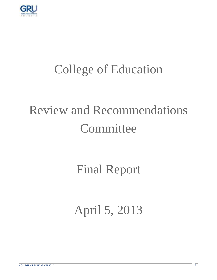

### College of Education

### Review and Recommendations **Committee**

### Final Report

### April 5, 2013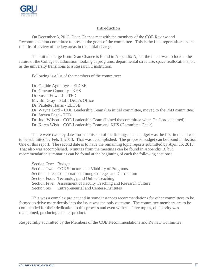

#### **Introduction**

On December 3, 2012, Dean Chance met with the members of the COE Review and Recommendation committee to present the goals of the committee. This is the final report after several months of review of the key areas in the initial charge.

The initial charge from Dean Chance is found in Appendix A, but the intent was to look at the future of the College of Education; looking at programs, departmental structure, space reallocations, etc. as the university transitions to a Research 1 institution.

Following is a list of the members of the committee:

Dr. Olajide Agunloye - ELCSE Dr. Graeme Connolly - KHS Dr. Susan Edwards - TED Mr. Bill Gray – Staff, Dean's Office Dr. Paulette Harris - ELCSE Dr. Wayne Lord – COE Leadership Team (On initial committee, moved to the PhD committee) Dr. Steven Page - TED Dr. Judi Wilson – COE Leadership Team (Joined the committee when Dr. Lord departed) Dr. Karen Wish – COE Leadership Team and KHS (Committee Chair)

There were two key dates for submission of the findings. The budget was the first item and was to be submitted by Feb. 1, 2013. That was accomplished. The proposed budget can be found in Section One of this report. The second date is to have the remaining topic reports submitted by April 15, 2013. That also was accomplished. Minutes from the meetings can be found in Appendix B, but recommendation summaries can be found at the beginning of each the following sections:

| Section One: Budget                                        |                                                                   |  |  |
|------------------------------------------------------------|-------------------------------------------------------------------|--|--|
|                                                            | Section Two: COE Structure and Viability of Programs              |  |  |
| Section Three: Collaboration among Colleges and Curriculum |                                                                   |  |  |
|                                                            | Section Four: Technology and Online Teaching                      |  |  |
|                                                            | Section Five: Assessment of Faculty Teaching and Research Culture |  |  |
|                                                            | Section Six: Entrepreneurial and Centers/Institutes               |  |  |

This was a complex project and in some instances recommendations for other committees to be formed to delve more deeply into the issue was the only outcome. The committee members are to be commended for their dedication to this process and even with sensitive topics, objectivity was maintained, producing a better product.

Respectfully submitted by the Members of the COE Recommendations and Review Committee.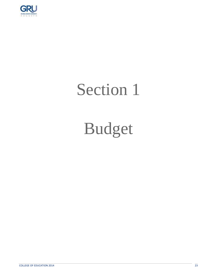

### Section 1

### Budget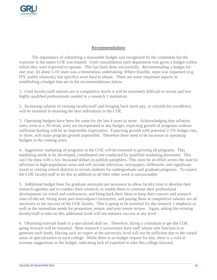

#### **Recommendations**

The importance of submitting a reasonable budget was recognized by the committee but the expertise in the entire COE was limited. Until consolidation each department was given a budget within which they were expected to operate. This has been done successfully. Recommending a budget for one year, let alone 5-10 years was a tremendous undertaking. Where feasible, input was requested (e.g. ITS, public relations), but specifics were hard to obtain. There are some important aspects in establishing a budget that are in the recommendations below:

1. Until faculty/staff salaries are at competitive levels it will be extremely difficult to recruit and hire highly qualified professionals needed in a research 1 institution.

2. Increasing salaries of existing faculty/staff and bringing back merit pay, or rewards for excellence, will be essential in retaining the best individuals in the COE.

3. Operating budgets have been the same for the last 4 years or more. Acknowledging that inflation rates, even at a 3% level, were not incorporated in any budget, expecting growth of programs without sufficient funding will be an impossible expectation. Expecting growth with potential 2-3% budget cuts, or more, will make program growth impossible. Therefore there need to be increases in operating budgets in the coming years.

4. Aggressive marketing of programs in the COE will be essential to growing all programs. This marketing needs to be developed, coordinated and conducted by qualified marketing personnel. This can't be done with a few thousand dollars to publish pamphlets. This must be an effort across the state to advertise in high-population areas and will include television, newspapers, billboards, and significant travel to visiting school districts to recruit students for undergraduate and graduate programs. To expect the COE faculty/staff to do this in addition to all their other work is unreasonable.

5. Additional budget lines for graduate assistants are necessary to allow faculty time to develop their research agendas and to conduct their research; to enable them to continue their professional development via travel and conferences, and bring back their ideas to keep their courses and research state-of-the-art; hiring more part-time/adjunct instructors, and paying them at competitive salaries are all necessary to the success of the COE faculty. This is going to be essential for the research 1 emphasis as well as the immediate needs for promotion, tenure, and post tenure review. Again, asking the existing faculty/staff to take on this additional work will not enhance success at any level.

6. Obtaining external funds is a specialized skill set. Therefore, hiring a consultant to get the COE going forward will be essential. Most research 1 universities have staff whose sole function is to generate such funds. Having such an expert at the university level will not be sufficient due to the varied areas of specialization in each college. While there is no budget request for this, there is a void in revenue suggestions in the budget, indicating lack of expertise to take this college forward.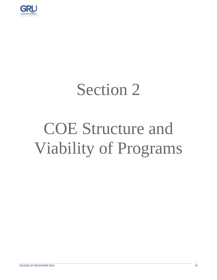

### Section 2

### COE Structure and Viability of Programs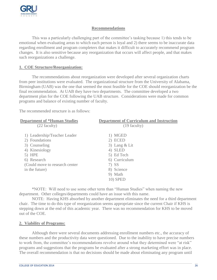

#### **Recommendations**

This was a particularly challenging part of the committee's tasking because 1) this tends to be emotional when evaluating areas to which each person is loyal and 2) there seems to be inaccurate data regarding enrollment and program completers that makes it difficult to accurately recommend program changes. It is also sensitive because any reorganization that occurs will affect people, and that makes such reorganizations a challenge.

#### **1. COE Structure/Reorganization:**

The recommendations about reorganization were developed after several organization charts from peer institutions were evaluated. The organizational structure from the University of Alabama, Birmingham (UAB) was the one that seemed the most feasible for the COE should reorganization be the final recommendation. At UAB they have two departments. The committee developed a two department plan for the COE following the UAB structure. Considerations were made for common programs and balance of existing number of faculty.

The recommended structure is as follows:

| <b>Department of *Human Studies</b> | <b>Department of Curriculum and Instruction</b> |
|-------------------------------------|-------------------------------------------------|
| (22 faculty)                        | $(19$ faculty)                                  |
|                                     |                                                 |
| 1) Leadership/Teacher Leader        | 1) MGED                                         |
| 2) Foundations                      | 2) ECED                                         |
| 3) Counseling                       | 3) Lang $&$ Lit                                 |
| 4) Kinesiology                      | 4) SLED                                         |
| 5) HPE                              | 5) Ed Tech                                      |
| 6) Research                         | 6) Curriculum                                   |
| (Could move to research center)     | 7) SS                                           |
| in the future)                      | 8) Science                                      |
|                                     | 9) Math                                         |
|                                     | <b>10) SPED</b>                                 |

\*NOTE: Will need to use some other term than "Human Studies" when naming the new department. Other colleges/departments could have an issue with this name.

NOTE: Having KHS absorbed by another department eliminates the need for a third department chair. The time to do this type of reorganization seems appropriate since the current Chair if KHS is stepping down at the end of this academic year. There was no recommendation for KHS to be moved out of the COE.

#### **2. Viability of Programs:**

Although there were several documents addressing enrollment numbers etc., the accuracy of these numbers and the productivity data were questioned. Due to the inability to have precise numbers to work from, the committee's recommendations revolve around what they determined were "at risk" programs and suggestions that the programs be evaluated after a strong marketing effort was in place. The overall recommendation is that no decisions should be made about eliminating any program until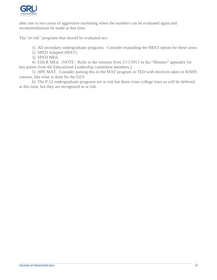

after one to two years of aggressive marketing when the numbers can be evaluated again and recommendations be made at that time.

The "at risk" programs that should be evaluated are:

1) All secondary undergraduate programs. Consider expanding the IMAT option for these areas

- 2) SPED Adapted (MAT)
- 3) SPED MEd.

4) EDLR MEd. (NOTE: Refer to the minutes from 2/13/2013 in the "Minutes" appendix for key points from the Educational Leadership committee members.)

5) HPE MAT. Consider putting this in the MAT program in TED with electives taken in KNHS courses, like what is done for the Ed.S

6) The P-12 undergraduate programs are at risk but these cross college lines so will be deferred at this time, but they are recognized as at risk.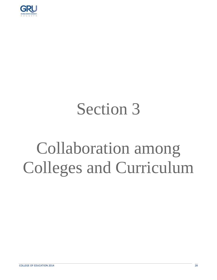

## Section 3

## Collaboration among Colleges and Curriculum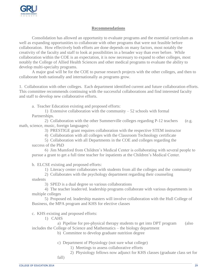

#### **Recommendations**

Consolidation has allowed an opportunity to evaluate programs and the essential curriculum as well as expanding opportunities to collaborate with other programs that were not feasible before collaboration. How effectively both efforts are done depends on many factors, most notably the creativity of the faculty and staff to look at possibilities in a broader way than ever before. While collaboration within the COE is an expectation, it is now necessary to expand to other colleges, most notably the College of Allied Health Sciences and other medical programs to evaluate the ability to develop multi-specialty programs.

A major goal will be for the COE to pursue research projects with the other colleges, and then to collaborate both nationally and internationally as programs grow.

1. Collaboration with other colleges. Each department identified current and future collaboration efforts. This committee recommends continuing with the successful collaborations and find interested faculty and staff to develop new collaborative efforts.

a. Teacher Education existing and proposed efforts:

1) Extensive collaboration with the community  $-52$  schools with formal Partnerships.

2) Collaboration with the other Summerville colleges regarding P-12 teachers (e.g. math, science, music, foreign languages)

3) PRESTIGE grant requires collaboration with the respective STEM instructor

4) Collaboration with all colleges with the Classroom Technology certificate

5) Collaboration with all Departments in the COE and colleges regarding the success of the PhD

6) Jim Mumford from Children's Medical Center is collaborating with several people to pursue a grant to get a full time teacher for inpatients at the Children's Medical Center.

b. ELCSE existing and proposed efforts:

1) Literacy center collaborates with students from all the colleges and the community

2) Collaborates with the psychology department regarding their counseling students

3) SPED is a dual degree so various collaborations

4) The teacher leader/ed. leadership programs collaborate with various departments in multiple colleges

5) Proposed ed. leadership masters will involve collaboration with the Hull College of Business, the MPA program and KHS for elective classes

c. KHS existing and proposed efforts:

1) CAHS

a) Pipeline for pre-physical therapy students to get into DPT program (also includes the College of Science and Mathematics – the biology department

- b) Committee to develop graduate nutrition degree
- c) Department of Physiology (not sure what college)
	- 1) Meetings to assess collaborative efforts
	- 2) Physiology fellows now adjunct for KHS classes (graduate class set for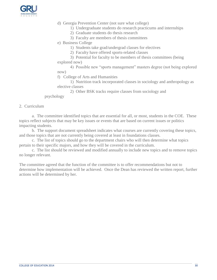

- d) Georgia Prevention Center (not sure what college)
	- 1) Undergraduate students do research practicums and internships
	- 2) Graduate students do thesis research
	- 3) Faculty are members of thesis committees
- e) Business College
	- 1) Students take grad/undergrad classes for electives
	- 2) Faculty have offered sports-related classes
- 3) Potential for faculty to be members of thesis committees (being explored now)

4) Possible new "sports management" masters degree (not being explored now)

f) College of Arts and Humanities

1) Nutrition track incorporated classes in sociology and anthropology as elective classes

2) Other BSK tracks require classes from sociology and

#### psychology

#### 2. Curriculum

a. The committee identified topics that are essential for all, or most, students in the COE. These topics reflect subjects that may be key issues or events that are based on current issues or politics impacting students.

b. The support document spreadsheet indicates what courses are currently covering these topics, and those topics that are not currently being covered at least in foundations classes.

c. The list of topics should go to the department chairs who will then determine what topics pertain to their specific majors, and how they will be covered in the curriculum.

c. The list should be reviewed and modified annually to include new topics and to remove topics no longer relevant.

The committee agreed that the function of the committee is to offer recommendations but not to determine how implementation will be achieved. Once the Dean has reviewed the written report, further actions will be determined by her.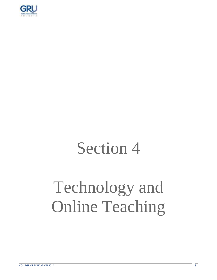

### Section 4

## Technology and Online Teaching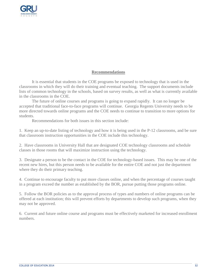

#### **Recommendations**

It is essential that students in the COE programs be exposed to technology that is used in the classrooms in which they will do their training and eventual teaching. The support documents include lists of common technology in the schools, based on survey results, as well as what is currently available in the classrooms in the COE.

The future of online courses and programs is going to expand rapidly. It can no longer be accepted that traditional face-to-face programs will continue. Georgia Regents University needs to be more directed towards online programs and the COE needs to continue to transition to more options for students.

Recommendations for both issues in this section include:

1. Keep an up-to-date listing of technology and how it is being used in the P-12 classrooms, and be sure that classroom instruction opportunities in the COE include this technology.

2. Have classrooms in University Hall that are designated COE technology classrooms and schedule classes in those rooms that will maximize instruction using the technology.

3. Designate a person to be the contact in the COE for technology-based issues. This may be one of the recent new hires, but this person needs to be available for the entire COE and not just the department where they do their primary teaching.

4. Continue to encourage faculty to put more classes online, and when the percentage of courses taught in a program exceed the number as established by the BOR, pursue putting those programs online.

5. Follow the BOR policies as to the approval process of types and numbers of online programs can be offered at each institution; this will prevent efforts by departments to develop such programs, when they may not be approved.

6. Current and future online course and programs must be effectively marketed for increased enrollment numbers.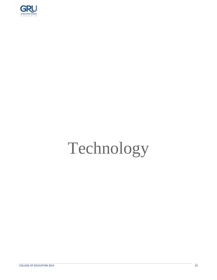

# Technology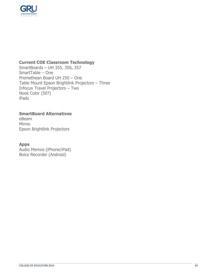

### **Current COE Classroom Technology**

SmartBoards – UH 355, 356, 357 SmartTable – One Promethean Board UH 250 – One Table Mount Epson Brightlink Projectors – Three Infocus Travel Projectors – Two Nook Color (50?) iPads

#### **SmartBoard Alternatives**

eBeam Mimio Epson Brightlink Projectors

#### **Apps**

Audio Memos (iPhone/iPad) Boice Recorder (Android)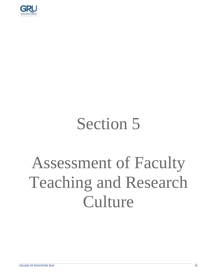

### Section 5

## Assessment of Faculty Teaching and Research **Culture**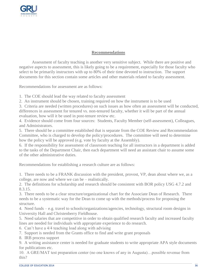

#### **Recommendations**

Assessment of faculty teaching is another very sensitive subject. While there are positive and negative aspects to assessment, this is likely going to be a requirement, especially for those faculty who select to be primarily instructors with up to 80% of their time devoted to instruction. The support documents for this section contain some articles and other materials related to faculty assessment.

Recommendations for assessment are as follows:

1. The COE should lead the way related to faculty assessment

2. An instrument should be chosen, training required on how the instrument is to be used

3. Criteria are needed (written procedures) on such issues as how often an assessment will be conducted, differences in assessment for tenured vs. non-tenured faculty, whether it will be part of the annual evaluation, how will it be used in post-tenure review etc.

4. Evidence should come from four sources: Students, Faculty Member (self-assessment), Colleagues, and Administrators.

5. There should be a committee established that is separate from the COE Review and Recommendation Committee, who is charged to develop the policy/procedures. The committee will need to determine how the policy will be approved (e.g. vote by faculty at the Assembly).

6. If the responsibility for assessment of classroom teaching for all instructors in a department is added to the tasks of the Department Chair, then each department will need an assistant chair to assume some of the other administrative duties.

Recommendations for establishing a research culture are as follows:

1. There needs to be a FRANK discussion with the president, provost, VP, dean about where we, as a college, are now and where we can be – realistically.

2. The definitions for scholarship and research should be consistent with BOR policy USG 4.7.2 and 8.3.15.

3. There needs to be a clear structure/organizational chart for the Associate Dean of Research. There needs to be a systematic way for the Dean to come up with the methods/process for proposing the structure.

4. Need funds – e.g. travel to schools/organizations/agencies, technology, structural room designs in University Hall and Christenberry Fieldhouse.

5. Need salaries that are competitive in order to obtain qualified research faculty and increased faculty lines are needed for individuals with appropriate experience to do research.

6. Can't have a 4/4 teaching load along with advising

7. Support is needed from the Grants office to find and write grant proposals

8. IRB process support

9. A writing assistance center is needed for graduate students to write appropriate APA style documents for publications etc.

10. A GRE/MAT test preparation center (no one knows of any in Augusta)…possible revenue from this?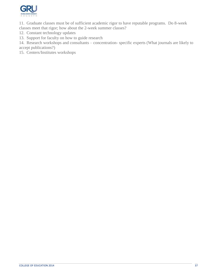

11. Graduate classes must be of sufficient academic rigor to have reputable programs. Do 8-week

- classes meet that rigor; how about the 2-week summer classes?
- 12. Constant technology updates
- 13. Support for faculty on how to guide research

14. Research workshops and consultants – concentration- specific experts (What journals are likely to accept publications?)

15. Centers/Institutes workshops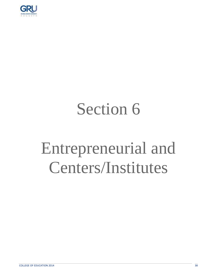

## Section 6

## Entrepreneurial and Centers/Institutes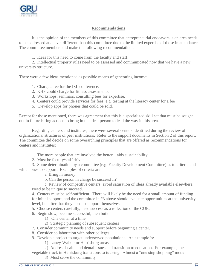

#### **Recommendations**

It is the opinion of the members of this committee that entrepreneurial endeavors is an area needs to be addressed at a level different than this committee due to the limited expertise of those in attendance. The committee members did make the following recommendations:

1. Ideas for this need to come from the faculty and staff.

2. Intellectual property rules need to be assessed and communicated now that we have a new university structure.

There were a few ideas mentioned as possible means of generating income:

- 1. Charge a fee for the ISL conference.
- 2. KHS could charge for fitness assessments.
- 3. Workshops, seminars, consulting fees for expertise.
- 4. Centers could provide services for fees, e.g. testing at the literacy center for a fee
- 5. Develop apps for phones that could be sold.

Except for those mentioned, there was agreement that this is a specialized skill set that must be sought out in future hiring actions to bring in the ideal person to lead the way in this area.

Regarding centers and institutes, there were several centers identified during the review of organizational structures of peer institutions. Refer to the support documents in Section 2 of this report. The committee did decide on some overarching principles that are offered as recommendations for centers and institutes:

- 1. The more people that are involved the better aids sustainability
- 2. Must be faculty/staff driven

3. Some determination by a committee (e.g. Faculty Development Committee) as to criteria and which ones to support. Examples of criteria are:

a. Bring in money

b. Can the person in charge be successful?

c. Review of competitive centers; avoid saturation of ideas already available elsewhere. Need to be unique to succeed.

4. Centers must be self-sufficient. There will likely be the need for a small amount of funding for initial support, and the committee in #3 above should evaluate opportunities at the university level, but after that they need to support themselves.

5. Choose centers carefully; need success as a reflection of the COE.

- 6. Begin slow, become successful, then build.
	- 1) One center at a time
	- 2) Strategic planning of subsequent centers
- 7. Consider community needs and support before beginning a center.
- 8. Consider collaboration with other colleges.
- 9. Develop a project to target underserved populations. An example is:
	- 1) Laney-Walker or Harrisburg areas
	- 2) Address health and dental issues and transition to education. For example, the
- vegetable truck in Harrisburg transitions to tutoring. Almost a "one stop shopping" model.
	- 3) Must serve the community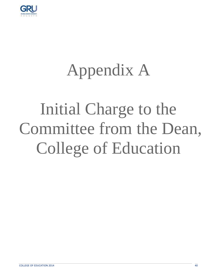

### Appendix A

## Initial Charge to the Committee from the Dean, College of Education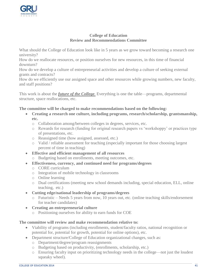

#### **College of Education Review and Recommendations Committee**

What should the College of Education look like in 5 years as we grow toward becoming a research one university?

How do we reallocate resources, or position ourselves for new resources, in this time of financial downturn?

How do we develop a culture of entrepreneurial activities and develop a culture of seeking external grants and contracts?

How do we efficiently use our assigned space and other resources while growing numbers, new faculty, and staff positions?

This work is about the *future of the College.* Everything is one the table—programs, departmental structure, space reallocations, etc.

#### **The committee will be charged to make recommendations based on the following:**

- **Creating a research one culture, including programs, research/scholarship, grantsmanship, etc.** 
	- o Collaboration among/between colleges in degrees, services, etc.
	- o Rewards for research (funding for original research papers vs 'workshoppy' or practices type of presentations, etc.
	- o Reassigned time (how assigned, assessed, etc.)
	- o Valid / reliable assessment for teaching (especially important for those choosing largest percent of time in teaching)
- **Effective and efficient management of all resources**
	- o Budgeting based on enrollments, meeting outcomes, etc.
- **Effectiveness, currency, and continued need for programs/degrees**
	- o CORE curriculum
	- o Integration of mobile technology in classrooms
	- o Online learning
	- o Dual certifications (meeting new school demands including, special education, ELL, online teaching, etc.)
- **Cutting edge/national leadership of programs/degrees**
	- o Futuristic Needs 5 years from now, 10 years out, etc. (online teaching skills/endorsement for teacher candidates)
- **Creating an entrepreneurial culture**
	- o Positioning ourselves for ability to earn funds for COE

#### **The committee will review and make recommendation relative to:**

- Viability of programs (including enrollments, student/faculty ratios, national recognition or potential for, potential for growth, potential for online options), etc.
- Department structure/College of Education organizational changes, such as:
	- o Department/degree/program reassignments
	- o Budgeting based on productivity, (enrollments, scholarship, etc.)
	- o Ensuring faculty input on prioritizing technology needs in the college—not just the loudest squeaky wheel).